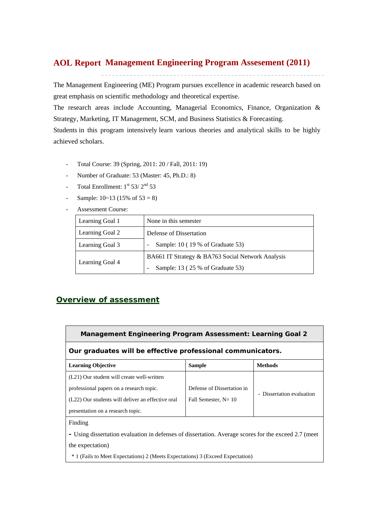## **Management Engineering Program Assesement (2011) AOL Report**

The Management Engineering (ME) Program pursues excellence in academic research based on great emphasis on scientific methodology and theoretical expertise.

The research areas include Accounting, Managerial Economics, Finance, Organization & Strategy, Marketing, IT Management, SCM, and Business Statistics & Forecasting.

Students in this program intensively learn various theories and analytical skills to be highly achieved scholars.

- Total Course: 39 (Spring, 2011: 20 / Fall, 2011: 19)
- Number of Graduate: 53 (Master: 45, Ph.D.: 8)
- Total Enrollment:  $1^{st}$  53/  $2^{nd}$  53
- Sample:  $10~13$  (15% of  $53 = 8$ )
- Assessment Course:

| Learning Goal 1 | None in this semester                             |
|-----------------|---------------------------------------------------|
| Learning Goal 2 | Defense of Dissertation                           |
| Learning Goal 3 | Sample: 10 (19 % of Graduate 53)                  |
|                 | BA661 IT Strategy & BA763 Social Network Analysis |
| Learning Goal 4 | Sample: 13 (25 % of Graduate 53)                  |

## *Overview of assessment*

**Management Engineering Program Assessment: Learning Goal 2** 

## **Our graduates will be effective professional communicators.**

| <b>Learning Objective</b>                         | <b>Sample</b>              | <b>Methods</b>            |  |  |
|---------------------------------------------------|----------------------------|---------------------------|--|--|
| (L21) Our student will create well-written        |                            |                           |  |  |
| professional papers on a research topic.          | Defense of Dissertation in | - Dissertation evaluation |  |  |
| (L22) Our students will deliver an effective oral | Fall Semester, $N = 10$    |                           |  |  |
| presentation on a research topic.                 |                            |                           |  |  |

Finding

**-** Using dissertation evaluation in defenses of dissertation. Average scores for the exceed 2.7 (meet the expectation)

\* 1 (Fails to Meet Expectations) 2 (Meets Expectations) 3 (Exceed Expectation)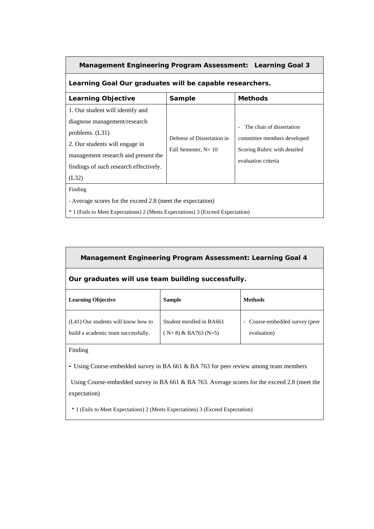| <b>Management Engineering Program Assessment: Learning Goal 3</b>                                                                                                                                                 |                                                       |                                                                                                                   |  |  |  |  |  |  |  |
|-------------------------------------------------------------------------------------------------------------------------------------------------------------------------------------------------------------------|-------------------------------------------------------|-------------------------------------------------------------------------------------------------------------------|--|--|--|--|--|--|--|
| Learning Goal Our graduates will be capable researchers.                                                                                                                                                          |                                                       |                                                                                                                   |  |  |  |  |  |  |  |
| <b>Learning Objective</b><br><b>Methods</b><br>Sample                                                                                                                                                             |                                                       |                                                                                                                   |  |  |  |  |  |  |  |
| 1. Our student will identify and<br>diagnose management/research<br>problems. $(L31)$<br>2. Our students will engage in<br>management research and present the<br>findings of such research effectively.<br>(L32) | Defense of Dissertation in<br>Fall Semester, $N = 10$ | - The chair of dissertation<br>committee members developed<br>Scoring Rubric with detailed<br>evaluation criteria |  |  |  |  |  |  |  |
| Finding<br>- Average scores for the exceed 2.8 (meet the expectation)<br><sup>*</sup> 1 (Fails to Meet Expectations) 2 (Meets Expectations) 3 (Exceed Expectation)                                                |                                                       |                                                                                                                   |  |  |  |  |  |  |  |

| Management Engineering Program Assessment: Learning Goal 4                 |                                                      |                                             |  |  |  |  |  |  |
|----------------------------------------------------------------------------|------------------------------------------------------|---------------------------------------------|--|--|--|--|--|--|
| Our graduates will use team building successfully.                         |                                                      |                                             |  |  |  |  |  |  |
| <b>Learning Objective</b>                                                  | <b>Methods</b>                                       |                                             |  |  |  |  |  |  |
| (L41) Our students will know how to<br>build a academic team successfully. | Student enrolled in BA661<br>$(N=8)$ & BA763 $(N=5)$ | Course-embedded survey (peer<br>evaluation) |  |  |  |  |  |  |

Finding

 $\mathbf{r}$ 

**-** Using Course-embedded survey in BA 661 & BA 763 for peer review among team members

 Using Course-embedded survey in BA 661 & BA 763. Average scores for the exceed 2.8 (meet the expectation)

\* 1 (Fails to Meet Expectations) 2 (Meets Expectations) 3 (Exceed Expectation)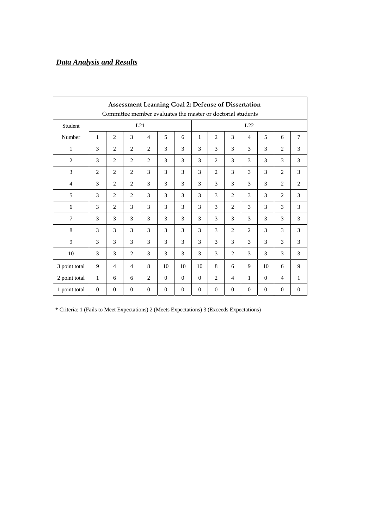## *Data Analysis and Results*

| <b>Assessment Learning Goal 2: Defense of Dissertation</b><br>Committee member evaluates the master or doctorial students |                |                |                |                |              |              |              |                |                |                |               |                |                |
|---------------------------------------------------------------------------------------------------------------------------|----------------|----------------|----------------|----------------|--------------|--------------|--------------|----------------|----------------|----------------|---------------|----------------|----------------|
| L21<br>Student                                                                                                            |                |                |                |                |              |              | L22          |                |                |                |               |                |                |
|                                                                                                                           |                |                |                |                |              |              |              |                |                |                |               |                |                |
| Number                                                                                                                    | $\mathbf{1}$   | $\overline{2}$ | 3              | $\overline{4}$ | 5            | 6            | $\mathbf{1}$ | $\overline{2}$ | 3              | $\overline{4}$ | 5             | 6              | 7              |
| $\mathbf{1}$                                                                                                              | 3              | $\overline{2}$ | $\overline{2}$ | $\overline{2}$ | 3            | 3            | 3            | 3              | 3              | 3              | 3             | $\overline{2}$ | 3              |
| $\overline{2}$                                                                                                            | 3              | $\overline{2}$ | 2              | 2              | 3            | 3            | 3            | $\overline{2}$ | 3              | 3              | 3             | 3              | 3              |
| 3                                                                                                                         | 2              | $\overline{2}$ | 2              | 3              | 3            | 3            | 3            | 2              | 3              | 3              | 3             | 2              | 3              |
| $\overline{4}$                                                                                                            | 3              | 2              | 2              | 3              | 3            | 3            | 3            | 3              | $\mathcal{E}$  | 3              | 3             | $\overline{2}$ | $\overline{2}$ |
| 5                                                                                                                         | 3              | $\overline{2}$ | $\overline{2}$ | 3              | 3            | 3            | 3            | 3              | $\overline{2}$ | 3              | 3             | $\overline{2}$ | 3              |
| 6                                                                                                                         | 3              | $\overline{2}$ | 3              | 3              | 3            | 3            | 3            | 3              | 2              | 3              | 3             | 3              | 3              |
| $\overline{7}$                                                                                                            | 3              | 3              | 3              | 3              | 3            | 3            | 3            | 3              | 3              | 3              | 3             | 3              | 3              |
| 8                                                                                                                         | 3              | 3              | 3              | 3              | 3            | 3            | 3            | 3              | $\overline{2}$ | $\overline{2}$ | 3             | 3              | 3              |
| 9                                                                                                                         | 3              | 3              | 3              | 3              | 3            | 3            | 3            | 3              | 3              | 3              | 3             | 3              | 3              |
| 10                                                                                                                        | 3              | 3              | 2              | 3              | 3            | 3            | 3            | 3              | $\overline{c}$ | 3              | $\mathcal{F}$ | 3              | 3              |
| 3 point total                                                                                                             | 9              | $\overline{4}$ | $\overline{4}$ | 8              | 10           | 10           | 10           | 8              | 6              | 9              | 10            | 6              | 9              |
| 2 point total                                                                                                             | $\mathbf{1}$   | 6              | 6              | 2              | $\theta$     | $\mathbf{0}$ | $\theta$     | 2              | $\overline{4}$ | $\mathbf{1}$   | $\mathbf{0}$  | $\overline{4}$ | 1              |
| 1 point total                                                                                                             | $\overline{0}$ | $\theta$       | $\mathbf{0}$   | $\mathbf{0}$   | $\mathbf{0}$ | $\theta$     | $\theta$     | $\theta$       | $\Omega$       | $\overline{0}$ | $\Omega$      | $\overline{0}$ | $\mathbf{0}$   |

\* Criteria: 1 (Fails to Meet Expectations) 2 (Meets Expectations) 3 (Exceeds Expectations)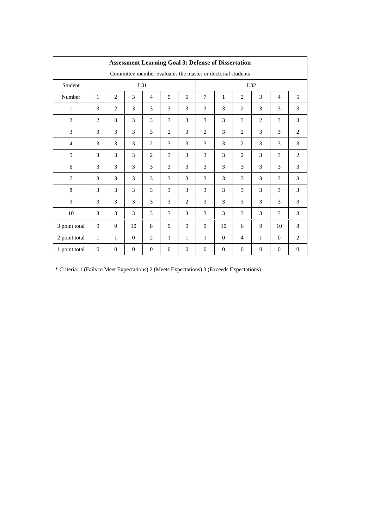| <b>Assessment Learning Goal 3: Defense of Dissertation</b>  |                |                |                |                |                |                |                |              |                |                |                |              |
|-------------------------------------------------------------|----------------|----------------|----------------|----------------|----------------|----------------|----------------|--------------|----------------|----------------|----------------|--------------|
| Committee member evaluates the master or doctorial students |                |                |                |                |                |                |                |              |                |                |                |              |
| Student                                                     |                |                | L31            |                |                |                | L32            |              |                |                |                |              |
| Number                                                      | 1              | $\overline{2}$ | 3              | $\overline{4}$ | 5              | 6              | $\overline{7}$ | $\mathbf{1}$ | $\overline{2}$ | 3              | $\overline{4}$ | 5            |
| 1                                                           | 3              | 2              | 3              | 3              | 3              | 3              | 3              | 3            | 2              | 3              | 3              | 3            |
| $\mathbf{2}$                                                | 2              | 3              | 3              | 3              | 3              | 3              | 3              | 3            | 3              | $\overline{2}$ | 3              | 3            |
| 3                                                           | 3              | 3              | 3              | 3              | $\overline{2}$ | 3              | $\overline{2}$ | 3            | 2              | 3              | 3              | 2            |
| $\overline{4}$                                              | 3              | 3              | 3              | $\overline{2}$ | 3              | 3              | 3              | 3            | 2              | 3              | 3              | 3            |
| 5                                                           | 3              | 3              | 3              | 2              | 3              | 3              | 3              | 3            | 2              | 3              | 3              | 2            |
| 6                                                           | 3              | 3              | 3              | 3              | 3              | 3              | 3              | 3            | 3              | 3              | 3              | 3            |
| $\overline{7}$                                              | 3              | 3              | 3              | 3              | 3              | 3              | 3              | 3            | 3              | 3              | 3              | 3            |
| 8                                                           | 3              | 3              | 3              | 3              | 3              | 3              | 3              | 3            | 3              | 3              | 3              | 3            |
| 9                                                           | 3              | 3              | 3              | 3              | 3              | $\overline{c}$ | 3              | 3            | 3              | 3              | 3              | 3            |
| 10                                                          | 3              | 3              | 3              | 3              | 3              | 3              | 3              | 3            | 3              | 3              | 3              | 3            |
| 3 point total                                               | 9              | 9              | 10             | 8              | 9              | 9              | 9              | 10           | 6              | 9              | 10             | 8            |
| 2 point total                                               | $\mathbf{1}$   | $\mathbf{1}$   | $\overline{0}$ | 2              | $\mathbf{1}$   | 1              | $\mathbf{1}$   | $\mathbf{0}$ | $\overline{4}$ | $\mathbf{1}$   | $\overline{0}$ | 2            |
| 1 point total                                               | $\overline{0}$ | $\overline{0}$ | $\overline{0}$ | $\overline{0}$ | $\mathbf{0}$   | $\mathbf{0}$   | $\overline{0}$ | $\mathbf{0}$ | $\overline{0}$ | $\overline{0}$ | $\mathbf{0}$   | $\mathbf{0}$ |

\* Criteria: 1 (Fails to Meet Expectations) 2 (Meets Expectations) 3 (Exceeds Expectations)